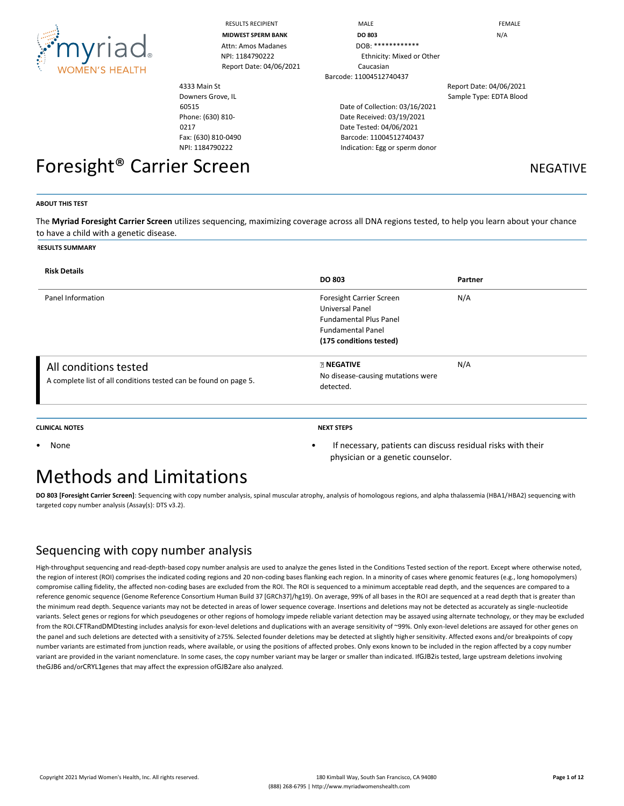

| <b>RESULTS RECIPIENT</b> |
|--------------------------|
| <b>MIDWEST SPERM BAN</b> |
| Attn: Amos Madane        |

Report Date: 04/06/2021 Caucasian

4333 Main St Downers Grove, IL 60515 Phone: (630) 810- 0217 Fax: (630) 810-0490 NPI: 1184790222

# Foresight<sup>®</sup> Carrier Screen Negative NEGATIVE

RESULTS RECIPIENT **And Internal Contract Contract Contract Contract Contract Contract Contract Contract Contract Contract Contract Contract Contract Contract Contract Contract Contract Contract Contract Contract Contract C MIDWEST SPERM BANK DO 803** N/A DOB: \*\*\*\*\*\*\*\*\*\*\*\*\* NPI: 1184790222 Ethnicity: Mixed or Other Barcode: 11004512740437

> Date of Collection: 03/16/2021 Date Received: 03/19/2021 Date Tested: 04/06/2021 Barcode: 11004512740437 Indication: Egg or sperm donor

Report Date: 04/06/2021 Sample Type: EDTA Blood

#### **ABOUT THIS TEST**

The **Myriad Foresight Carrier Screen** utilizes sequencing, maximizing coverage across all DNA regions tested, to help you learn about your chance to have a child with a genetic disease.

#### **RESULTS SUMMARY**

| <b>Risk Details</b>                                                                       |                                                                                                                                     |         |
|-------------------------------------------------------------------------------------------|-------------------------------------------------------------------------------------------------------------------------------------|---------|
|                                                                                           | <b>DO 803</b>                                                                                                                       | Partner |
| Panel Information                                                                         | Foresight Carrier Screen<br>Universal Panel<br><b>Fundamental Plus Panel</b><br><b>Fundamental Panel</b><br>(175 conditions tested) | N/A     |
| All conditions tested<br>A complete list of all conditions tested can be found on page 5. | <b>ENEGATIVE</b><br>No disease-causing mutations were<br>detected.                                                                  | N/A     |

#### **CLINICAL NOTES NEXT STEPS**

physician or a genetic counselor.

• None • If necessary, patients can discuss residual risks with their

## Methods and Limitations

**DO 803 [Foresight Carrier Screen]**: Sequencing with copy number analysis, spinal muscular atrophy, analysis of homologous regions, and alpha thalassemia (HBA1/HBA2) sequencing with targeted copy number analysis (Assay(s): DTS v3.2).

#### Sequencing with copy number analysis

High-throughput sequencing and read-depth-based copy number analysis are used to analyze the genes listed in the Conditions Tested section of the report. Except where otherwise noted, the region of interest (ROI) comprises the indicated coding regions and 20 non-coding bases flanking each region. In a minority of cases where genomic features (e.g., long homopolymers) compromise calling fidelity, the affected non-coding bases are excluded from the ROI. The ROI is sequenced to a minimum acceptable read depth, and the sequences are compared to a reference genomic sequence (Genome Reference Consortium Human Build 37 [GRCh37]/hg19). On average, 99% of all bases in the ROI are sequenced at a read depth that is greater than the minimum read depth. Sequence variants may not be detected in areas of lower sequence coverage. Insertions and deletions may not be detected as accurately as single-nucleotide variants. Select genes or regions for which pseudogenes or other regions of homology impede reliable variant detection may be assayed using alternate technology, or they may be excluded from the ROI.CFTRandDMDtesting includes analysis for exon-level deletions and duplications with an average sensitivity of ~99%. Only exon-level deletions are assayed for other genes on the panel and such deletions are detected with a sensitivity of ≥75%. Selected founder deletions may be detected at slightly higher sensitivity. Affected exons and/or breakpoints of copy number variants are estimated from junction reads, where available, or using the positions of affected probes. Only exons known to be included in the region affected by a copy number variant are provided in the variant nomenclature. In some cases, the copy number variant may be larger or smaller than indicated. IfGJB2is tested, large upstream deletions involving theGJB6 and/orCRYL1genes that may affect the expression ofGJB2are also analyzed.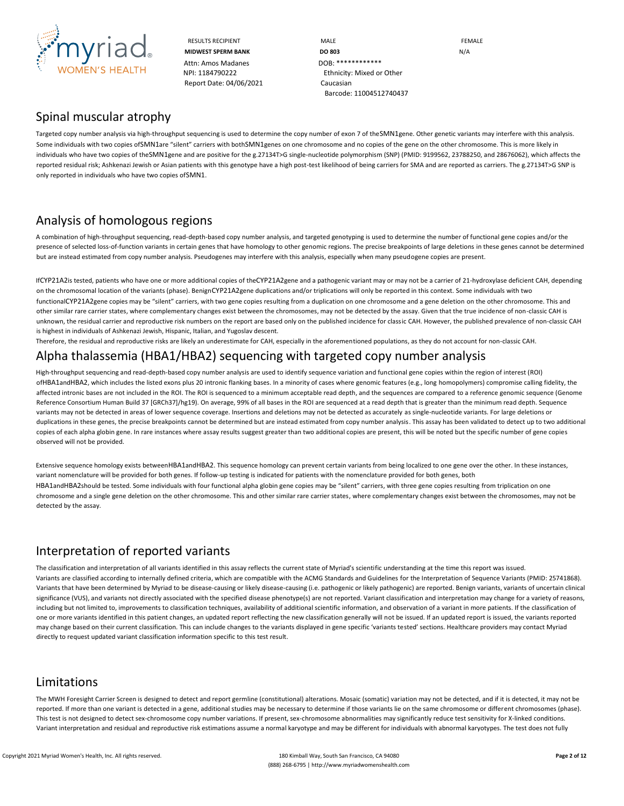

RESULTS RECIPIENT **MALE MALE EXAMPLE MIDWEST SPERM BANK DO 803 N/A** NPI: 1184790222 Ethnicity: Mixed or Other Barcode: 11004512740437

### Spinal muscular atrophy

Targeted copy number analysis via high-throughput sequencing is used to determine the copy number of exon 7 of theSMN1gene. Other genetic variants may interfere with this analysis. Some individuals with two copies ofSMN1are "silent" carriers with bothSMN1genes on one chromosome and no copies of the gene on the other chromosome. This is more likely in individuals who have two copies of theSMN1gene and are positive for the g.27134T>G single-nucleotide polymorphism (SNP) (PMID: 9199562, 23788250, and 28676062), which affects the reported residual risk; Ashkenazi Jewish or Asian patients with this genotype have a high post-test likelihood of being carriers for SMA and are reported as carriers. The g.27134T>G SNP is only reported in individuals who have two copies ofSMN1.

## Analysis of homologous regions

A combination of high-throughput sequencing, read-depth-based copy number analysis, and targeted genotyping is used to determine the number of functional gene copies and/or the presence of selected loss-of-function variants in certain genes that have homology to other genomic regions. The precise breakpoints of large deletions in these genes cannot be determined but are instead estimated from copy number analysis. Pseudogenes may interfere with this analysis, especially when many pseudogene copies are present.

IfCYP21A2is tested, patients who have one or more additional copies of theCYP21A2gene and a pathogenic variant may or may not be a carrier of 21-hydroxylase deficient CAH, depending on the chromosomal location of the variants (phase). BenignCYP21A2gene duplications and/or triplications will only be reported in this context. Some individuals with two functionalCYP21A2gene copies may be "silent" carriers, with two gene copies resulting from a duplication on one chromosome and a gene deletion on the other chromosome. This and other similar rare carrier states, where complementary changes exist between the chromosomes, may not be detected by the assay. Given that the true incidence of non-classic CAH is unknown, the residual carrier and reproductive risk numbers on the report are based only on the published incidence for classic CAH. However, the published prevalence of non-classic CAH is highest in individuals of Ashkenazi Jewish, Hispanic, Italian, and Yugoslav descent.

Therefore, the residual and reproductive risks are likely an underestimate for CAH, especially in the aforementioned populations, as they do not account for non-classic CAH.

## Alpha thalassemia (HBA1/HBA2) sequencing with targeted copy number analysis

High-throughput sequencing and read-depth-based copy number analysis are used to identify sequence variation and functional gene copies within the region of interest (ROI) ofHBA1andHBA2, which includes the listed exons plus 20 intronic flanking bases. In a minority of cases where genomic features (e.g., long homopolymers) compromise calling fidelity, the affected intronic bases are not included in the ROI. The ROI is sequenced to a minimum acceptable read depth, and the sequences are compared to a reference genomic sequence (Genome Reference Consortium Human Build 37 [GRCh37]/hg19). On average, 99% of all bases in the ROI are sequenced at a read depth that is greater than the minimum read depth. Sequence variants may not be detected in areas of lower sequence coverage. Insertions and deletions may not be detected as accurately as single-nucleotide variants. For large deletions or duplications in these genes, the precise breakpoints cannot be determined but are instead estimated from copy number analysis. This assay has been validated to detect up to two additional copies of each alpha globin gene. In rare instances where assay results suggest greater than two additional copies are present, this will be noted but the specific number of gene copies observed will not be provided.

Extensive sequence homology exists betweenHBA1andHBA2. This sequence homology can prevent certain variants from being localized to one gene over the other. In these instances, variant nomenclature will be provided for both genes. If follow-up testing is indicated for patients with the nomenclature provided for both genes, both HBA1andHBA2should be tested. Some individuals with four functional alpha globin gene copies may be "silent" carriers, with three gene copies resulting from triplication on one chromosome and a single gene deletion on the other chromosome. This and other similar rare carrier states, where complementary changes exist between the chromosomes, may not be detected by the assay.

## Interpretation of reported variants

The classification and interpretation of all variants identified in this assay reflects the current state of Myriad's scientific understanding at the time this report was issued. Variants are classified according to internally defined criteria, which are compatible with the ACMG Standards and Guidelines for the Interpretation of Sequence Variants (PMID: 25741868). Variants that have been determined by Myriad to be disease-causing or likely disease-causing (i.e. pathogenic or likely pathogenic) are reported. Benign variants, variants of uncertain clinical significance (VUS), and variants not directly associated with the specified disease phenotype(s) are not reported. Variant classification and interpretation may change for a variety of reasons, including but not limited to, improvements to classification techniques, availability of additional scientific information, and observation of a variant in more patients. If the classification of one or more variants identified in this patient changes, an updated report reflecting the new classification generally will not be issued. If an updated report is issued, the variants reported may change based on their current classification. This can include changes to the variants displayed in gene specific 'variants tested' sections. Healthcare providers may contact Myriad directly to request updated variant classification information specific to this test result.

#### Limitations

The MWH Foresight Carrier Screen is designed to detect and report germline (constitutional) alterations. Mosaic (somatic) variation may not be detected, and if it is detected, it may not be reported. If more than one variant is detected in a gene, additional studies may be necessary to determine if those variants lie on the same chromosome or different chromosomes (phase). This test is not designed to detect sex-chromosome copy number variations. If present, sex-chromosome abnormalities may significantly reduce test sensitivity for X-linked conditions. Variant interpretation and residual and reproductive risk estimations assume a normal karyotype and may be different for individuals with abnormal karyotypes. The test does not fully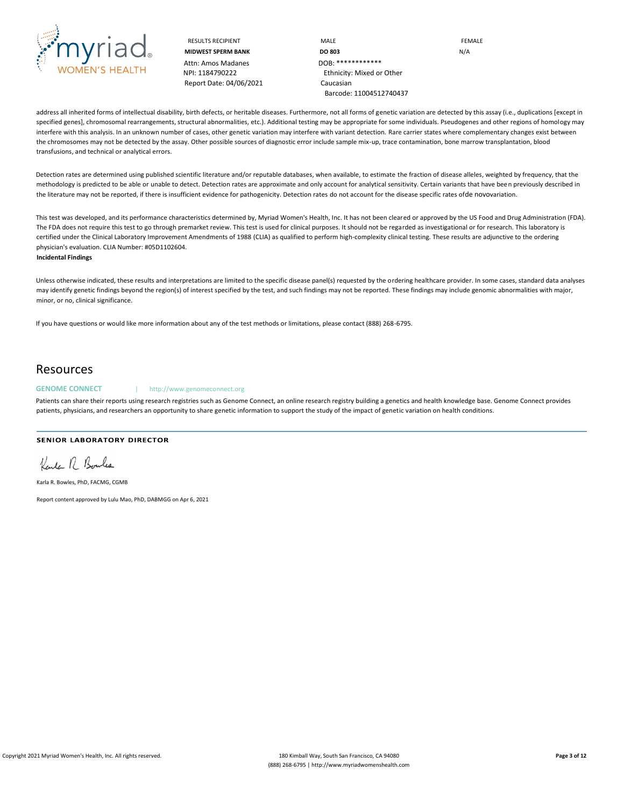

RESULTS RECIPIENT **MALE MALE EXAMPLE MIDWEST SPERM BANK DO 803 DO 803** N/A NPI: 1184790222 Ethnicity: Mixed or Other Barcode: 11004512740437

address all inherited forms of intellectual disability, birth defects, or heritable diseases. Furthermore, not all forms of genetic variation are detected by this assay (i.e., duplications [except in specified genes], chromosomal rearrangements, structural abnormalities, etc.). Additional testing may be appropriate for some individuals. Pseudogenes and other regions of homology may interfere with this analysis. In an unknown number of cases, other genetic variation may interfere with variant detection. Rare carrier states where complementary changes exist between the chromosomes may not be detected by the assay. Other possible sources of diagnostic error include sample mix-up, trace contamination, bone marrow transplantation, blood transfusions, and technical or analytical errors.

Detection rates are determined using published scientific literature and/or reputable databases, when available, to estimate the fraction of disease alleles, weighted by frequency, that the methodology is predicted to be able or unable to detect. Detection rates are approximate and only account for analytical sensitivity. Certain variants that have been previously described in the literature may not be reported, if there is insufficient evidence for pathogenicity. Detection rates do not account for the disease specific rates ofde novovariation.

This test was developed, and its performance characteristics determined by, Myriad Women's Health, Inc. It has not been cleared or approved by the US Food and Drug Administration (FDA). The FDA does not require this test to go through premarket review. This test is used for clinical purposes. It should not be regarded as investigational or for research. This laboratory is certified under the Clinical Laboratory Improvement Amendments of 1988 (CLIA) as qualified to perform high-complexity clinical testing. These results are adjunctive to the ordering physician's evaluation. CLIA Number: #05D1102604.

**Incidental Findings**

Unless otherwise indicated, these results and interpretations are limited to the specific disease panel(s) requested by the ordering healthcare provider. In some cases, standard data analyses may identify genetic findings beyond the region(s) of interest specified by the test, and such findings may not be reported. These findings may include genomic abnormalities with major, minor, or no, clinical significance.

If you have questions or would like more information about any of the test methods or limitations, please contact (888) 268-6795.

### Resources

#### **GENOME CONNECT** | http://www.genomeconnect.org

Patients can share their reports using research registries such as Genome Connect, an online research registry building a genetics and health knowledge base. Genome Connect provides patients, physicians, and researchers an opportunity to share genetic information to support the study of the impact of genetic variation on health conditions.

#### **SENIOR LABORATORY DIRECTOR**

Kenter R. Boules

Karla R. Bowles, PhD, FACMG, CGMB

Report content approved by Lulu Mao, PhD, DABMGG on Apr 6, 2021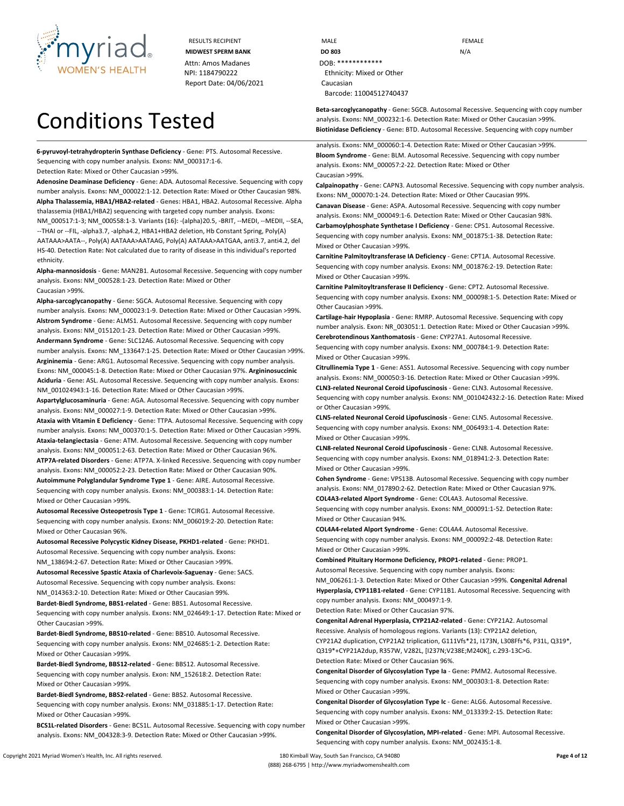

# Conditions Tested

**6-pyruvoyl-tetrahydropterin Synthase Deficiency** - **Gene:** PTS. Autosomal Recessive. Sequencing with copy number analysis. **Exons:** NM\_000317:1-6.

**Detection Rate:** Mixed or Other Caucasian >99%.

**Adenosine Deaminase Deficiency** - **Gene:** ADA. Autosomal Recessive. Sequencing with copy number analysis. **Exons:** NM\_000022:1-12. **Detection Rate:** Mixed or Other Caucasian 98%. **Alpha Thalassemia, HBA1/HBA2-related** - **Genes:** HBA1, HBA2. Autosomal Recessive. Alpha thalassemia (HBA1/HBA2) sequencing with targeted copy number analysis. **Exons:**  NM\_000517:1-3; NM\_000558:1-3. **Variants (16):** -(alpha)20.5, -BRIT, --MEDI, --MEDII, --SEA, --THAI or --FIL, -alpha3.7, -alpha4.2, HBA1+HBA2 deletion, Hb Constant Spring, Poly(A) AATAAA>AATA--, Poly(A) AATAAA>AATAAG, Poly(A) AATAAA>AATGAA, anti3.7, anti4.2, del HS-40. **Detection Rate:** Not calculated due to rarity of disease in this individual's reported ethnicity.

**Alpha-mannosidosis** - **Gene:** MAN2B1. Autosomal Recessive. Sequencing with copy number analysis. **Exons:** NM\_000528:1-23. **Detection Rate:** Mixed or Other Caucasian >99%.

**Alpha-sarcoglycanopathy** - **Gene:** SGCA. Autosomal Recessive. Sequencing with copy number analysis. **Exons:** NM\_000023:1-9. **Detection Rate:** Mixed or Other Caucasian >99%. **Alstrom Syndrome** - **Gene:** ALMS1. Autosomal Recessive. Sequencing with copy number analysis. **Exons:** NM\_015120:1-23. **Detection Rate:** Mixed or Other Caucasian >99%. **Andermann Syndrome** - **Gene:** SLC12A6. Autosomal Recessive. Sequencing with copy number analysis. **Exons:** NM\_133647:1-25. **Detection Rate:** Mixed or Other Caucasian >99%. **Argininemia** - **Gene:** ARG1. Autosomal Recessive. Sequencing with copy number analysis. **Exons:** NM\_000045:1-8. **Detection Rate:** Mixed or Other Caucasian 97%. **Argininosuccinic Aciduria** - **Gene:** ASL. Autosomal Recessive. Sequencing with copy number analysis. **Exons:**  NM\_001024943:1-16. **Detection Rate:** Mixed or Other Caucasian >99%.

**Aspartylglucosaminuria** - **Gene:** AGA. Autosomal Recessive. Sequencing with copy number analysis. **Exons:** NM\_000027:1-9. **Detection Rate:** Mixed or Other Caucasian >99%. **Ataxia with Vitamin E Deficiency** - **Gene:** TTPA. Autosomal Recessive. Sequencing with copy number analysis. **Exons:** NM\_000370:1-5. **Detection Rate:** Mixed or Other Caucasian >99%. **Ataxia-telangiectasia** - **Gene:** ATM. Autosomal Recessive. Sequencing with copy number analysis. **Exons:** NM\_000051:2-63. **Detection Rate:** Mixed or Other Caucasian 96%. **ATP7A-related Disorders** - **Gene:** ATP7A. X-linked Recessive. Sequencing with copy number analysis. **Exons:** NM\_000052:2-23. **Detection Rate:** Mixed or Other Caucasian 90%. **Autoimmune Polyglandular Syndrome Type 1** - **Gene:** AIRE. Autosomal Recessive. Sequencing with copy number analysis. **Exons:** NM\_000383:1-14. **Detection Rate:** Mixed or Other Caucasian >99%.

**Autosomal Recessive Osteopetrosis Type 1** - **Gene:** TCIRG1. Autosomal Recessive. Sequencing with copy number analysis. **Exons:** NM\_006019:2-20. **Detection Rate:** Mixed or Other Caucasian 96%.

**Autosomal Recessive Polycystic Kidney Disease, PKHD1-related** - **Gene:** PKHD1. Autosomal Recessive. Sequencing with copy number analysis. **Exons:** NM\_138694:2-67. **Detection Rate:** Mixed or Other Caucasian >99%. **Autosomal Recessive Spastic Ataxia of Charlevoix-Saguenay** - **Gene:** SACS. Autosomal Recessive. Sequencing with copy number analysis. **Exons:**

NM\_014363:2-10. **Detection Rate:** Mixed or Other Caucasian 99%.

**Bardet-Biedl Syndrome, BBS1-related** - **Gene:** BBS1. Autosomal Recessive.

Sequencing with copy number analysis. **Exons:** NM\_024649:1-17. **Detection Rate:** Mixed or Other Caucasian >99%.

**Bardet-Biedl Syndrome, BBS10-related** - **Gene:** BBS10. Autosomal Recessive. Sequencing with copy number analysis. **Exons:** NM\_024685:1-2. **Detection Rate:** Mixed or Other Caucasian >99%.

**Bardet-Biedl Syndrome, BBS12-related** - **Gene:** BBS12. Autosomal Recessive. Sequencing with copy number analysis. **Exon:** NM\_152618:2. **Detection Rate:** Mixed or Other Caucasian >99%.

**Bardet-Biedl Syndrome, BBS2-related** - **Gene:** BBS2. Autosomal Recessive. Sequencing with copy number analysis. **Exons:** NM\_031885:1-17. **Detection Rate:** Mixed or Other Caucasian >99%.

**BCS1L-related Disorders** - **Gene:** BCS1L. Autosomal Recessive. Sequencing with copy number analysis. **Exons:** NM\_004328:3-9. **Detection Rate:** Mixed or Other Caucasian >99%.

RESULTS RECIPIENT **MALE MALE EXAMPLE MIDWEST SPERM BANK DO 803 DO 803** N/A NPI: 1184790222 Ethnicity: Mixed or Other Barcode: 11004512740437

> **Beta-sarcoglycanopathy** - **Gene:** SGCB. Autosomal Recessive. Sequencing with copy number analysis. **Exons:** NM\_000232:1-6. **Detection Rate:** Mixed or Other Caucasian >99%. **Biotinidase Deficiency** - **Gene:** BTD. Autosomal Recessive. Sequencing with copy number

analysis. **Exons:** NM\_000060:1-4. **Detection Rate:** Mixed or Other Caucasian >99%. **Bloom Syndrome** - **Gene:** BLM. Autosomal Recessive. Sequencing with copy number analysis. **Exons:** NM\_000057:2-22. **Detection Rate:** Mixed or Other Caucasian >99%.

**Calpainopathy** - **Gene:** CAPN3. Autosomal Recessive. Sequencing with copy number analysis. **Exons:** NM\_000070:1-24. **Detection Rate:** Mixed or Other Caucasian 99%.

**Canavan Disease** - **Gene:** ASPA. Autosomal Recessive. Sequencing with copy number analysis. **Exons:** NM\_000049:1-6. **Detection Rate:** Mixed or Other Caucasian 98%.

**Carbamoylphosphate Synthetase I Deficiency** - **Gene:** CPS1. Autosomal Recessive. Sequencing with copy number analysis. **Exons:** NM\_001875:1-38. **Detection Rate:** Mixed or Other Caucasian >99%.

**Carnitine Palmitoyltransferase IA Deficiency** - **Gene:** CPT1A. Autosomal Recessive. Sequencing with copy number analysis. **Exons:** NM\_001876:2-19. **Detection Rate:** Mixed or Other Caucasian >99%.

**Carnitine Palmitoyltransferase II Deficiency** - **Gene:** CPT2. Autosomal Recessive. Sequencing with copy number analysis. **Exons:** NM\_000098:1-5. **Detection Rate:** Mixed or Other Caucasian >99%.

**Cartilage-hair Hypoplasia** - **Gene:** RMRP. Autosomal Recessive. Sequencing with copy number analysis. **Exon:** NR\_003051:1. **Detection Rate:** Mixed or Other Caucasian >99%. **Cerebrotendinous Xanthomatosis** - **Gene:** CYP27A1. Autosomal Recessive.

Sequencing with copy number analysis. **Exons:** NM\_000784:1-9. **Detection Rate:** Mixed or Other Caucasian >99%.

**Citrullinemia Type 1** - **Gene:** ASS1. Autosomal Recessive. Sequencing with copy number analysis. **Exons:** NM\_000050:3-16. **Detection Rate:** Mixed or Other Caucasian >99%. **CLN3-related Neuronal Ceroid Lipofuscinosis** - **Gene:** CLN3. Autosomal Recessive. Sequencing with copy number analysis. **Exons:** NM\_001042432:2-16. **Detection Rate:** Mixed or Other Caucasian >99%.

**CLN5-related Neuronal Ceroid Lipofuscinosis** - **Gene:** CLN5. Autosomal Recessive. Sequencing with copy number analysis. **Exons:** NM\_006493:1-4. **Detection Rate:** Mixed or Other Caucasian >99%.

**CLN8-related Neuronal Ceroid Lipofuscinosis** - **Gene:** CLN8. Autosomal Recessive. Sequencing with copy number analysis. **Exons:** NM\_018941:2-3. **Detection Rate:** Mixed or Other Caucasian >99%.

**Cohen Syndrome** - **Gene:** VPS13B. Autosomal Recessive. Sequencing with copy number analysis. **Exons:** NM\_017890:2-62. **Detection Rate:** Mixed or Other Caucasian 97%. **COL4A3-related Alport Syndrome** - **Gene:** COL4A3. Autosomal Recessive.

Sequencing with copy number analysis. **Exons:** NM\_000091:1-52. **Detection Rate:** Mixed or Other Caucasian 94%.

**COL4A4-related Alport Syndrome** - **Gene:** COL4A4. Autosomal Recessive. Sequencing with copy number analysis. **Exons:** NM\_000092:2-48. **Detection Rate:** Mixed or Other Caucasian >99%.

**Combined Pituitary Hormone Deficiency, PROP1-related** - **Gene:** PROP1. Autosomal Recessive. Sequencing with copy number analysis. **Exons:** NM\_006261:1-3. **Detection Rate:** Mixed or Other Caucasian >99%. **Congenital Adrenal Hyperplasia, CYP11B1-related** - **Gene:** CYP11B1. Autosomal Recessive. Sequencing with copy number analysis. **Exons:** NM\_000497:1-9.

**Detection Rate:** Mixed or Other Caucasian 97%.

**Congenital Adrenal Hyperplasia, CYP21A2-related** - **Gene:** CYP21A2. Autosomal Recessive. Analysis of homologous regions. **Variants (13):** CYP21A2 deletion, CYP21A2 duplication, CYP21A2 triplication, G111Vfs\*21, I173N, L308Ffs\*6, P31L, Q319\*, Q319\*+CYP21A2dup, R357W, V282L, [I237N;V238E;M240K], c.293-13C>G. **Detection Rate:** Mixed or Other Caucasian 96%.

**Congenital Disorder of Glycosylation Type Ia** - **Gene:** PMM2. Autosomal Recessive. Sequencing with copy number analysis. **Exons:** NM\_000303:1-8. **Detection Rate:** Mixed or Other Caucasian >99%.

**Congenital Disorder of Glycosylation Type Ic** - **Gene:** ALG6. Autosomal Recessive. Sequencing with copy number analysis. **Exons:** NM\_013339:2-15. **Detection Rate:** Mixed or Other Caucasian >99%.

**Congenital Disorder of Glycosylation, MPI-related** - **Gene:** MPI. Autosomal Recessive. Sequencing with copy number analysis. **Exons:** NM\_002435:1-8.

Copyright 2021 Myriad Women's Health, Inc. All rights reserved. 180 Kimball Way, South San Francisco, CA 94080 **Page 4 of 12** (888) 268-6795 | http://www.myriadwomenshealth.com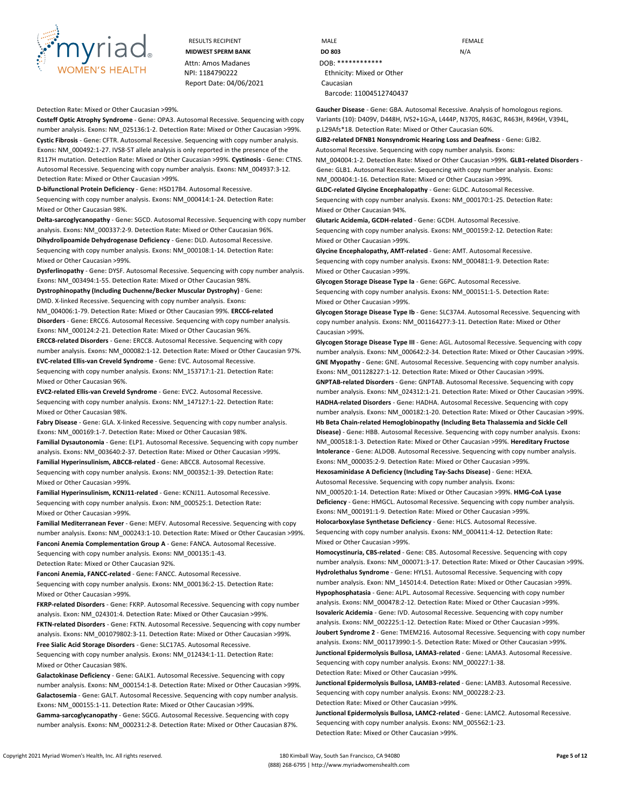

**Detection Rate:** Mixed or Other Caucasian >99%.

**Costeff Optic Atrophy Syndrome** - **Gene:** OPA3. Autosomal Recessive. Sequencing with copy number analysis. **Exons:** NM\_025136:1-2. **Detection Rate:** Mixed or Other Caucasian >99%. **Cystic Fibrosis** - **Gene:** CFTR. Autosomal Recessive. Sequencing with copy number analysis. **Exons:** NM\_000492:1-27. IVS8-5T allele analysis is only reported in the presence of the R117H mutation. **Detection Rate:** Mixed or Other Caucasian >99%. **Cystinosis** - **Gene:** CTNS. Autosomal Recessive. Sequencing with copy number analysis. **Exons:** NM\_004937:3-12. **Detection Rate:** Mixed or Other Caucasian >99%.

**D-bifunctional Protein Deficiency** - **Gene:** HSD17B4. Autosomal Recessive.

Sequencing with copy number analysis. **Exons:** NM\_000414:1-24. **Detection Rate:** Mixed or Other Caucasian 98%.

**Delta-sarcoglycanopathy** - **Gene:** SGCD. Autosomal Recessive. Sequencing with copy number analysis. **Exons:** NM\_000337:2-9. **Detection Rate:** Mixed or Other Caucasian 96%.

**Dihydrolipoamide Dehydrogenase Deficiency** - **Gene:** DLD. Autosomal Recessive. Sequencing with copy number analysis. **Exons:** NM\_000108:1-14. **Detection Rate:** Mixed or Other Caucasian >99%.

**Dysferlinopathy** - **Gene:** DYSF. Autosomal Recessive. Sequencing with copy number analysis. **Exons:** NM\_003494:1-55. **Detection Rate:** Mixed or Other Caucasian 98%.

**Dystrophinopathy (Including Duchenne/Becker Muscular Dystrophy)** - **Gene:** DMD. X-linked Recessive. Sequencing with copy number analysis. **Exons:**

NM\_004006:1-79. **Detection Rate:** Mixed or Other Caucasian 99%. **ERCC6-related Disorders** - **Gene:** ERCC6. Autosomal Recessive. Sequencing with copy number analysis. **Exons:** NM\_000124:2-21. **Detection Rate:** Mixed or Other Caucasian 96%.

**ERCC8-related Disorders** - **Gene:** ERCC8. Autosomal Recessive. Sequencing with copy number analysis. **Exons:** NM\_000082:1-12. **Detection Rate:** Mixed or Other Caucasian 97%. **EVC-related Ellis-van Creveld Syndrome** - **Gene:** EVC. Autosomal Recessive. Sequencing with copy number analysis. **Exons:** NM\_153717:1-21. **Detection Rate:** Mixed or Other Caucasian 96%.

**EVC2-related Ellis-van Creveld Syndrome** - **Gene:** EVC2. Autosomal Recessive. Sequencing with copy number analysis. **Exons:** NM\_147127:1-22. **Detection Rate:** Mixed or Other Caucasian 98%.

**Fabry Disease** - **Gene:** GLA. X-linked Recessive. Sequencing with copy number analysis. **Exons:** NM\_000169:1-7. **Detection Rate:** Mixed or Other Caucasian 98%.

**Familial Dysautonomia** - **Gene:** ELP1. Autosomal Recessive. Sequencing with copy number analysis. **Exons:** NM\_003640:2-37. **Detection Rate:** Mixed or Other Caucasian >99%. **Familial Hyperinsulinism, ABCC8-related** - **Gene:** ABCC8. Autosomal Recessive. Sequencing with copy number analysis. **Exons:** NM\_000352:1-39. **Detection Rate:**

**Familial Hyperinsulinism, KCNJ11-related** - **Gene:** KCNJ11. Autosomal Recessive. Sequencing with copy number analysis. **Exon:** NM\_000525:1. **Detection Rate:** Mixed or Other Caucasian >99%.

**Familial Mediterranean Fever** - **Gene:** MEFV. Autosomal Recessive. Sequencing with copy number analysis. **Exons:** NM\_000243:1-10. **Detection Rate:** Mixed or Other Caucasian >99%. **Fanconi Anemia Complementation Group A** - **Gene:** FANCA. Autosomal Recessive. Sequencing with copy number analysis. **Exons:** NM\_000135:1-43.

**Detection Rate:** Mixed or Other Caucasian 92%.

**Fanconi Anemia, FANCC-related** - **Gene:** FANCC. Autosomal Recessive. Sequencing with copy number analysis. **Exons:** NM\_000136:2-15. **Detection Rate:**

Mixed or Other Caucasian >99%.

Mixed or Other Caucasian >99%.

**FKRP-related Disorders** - **Gene:** FKRP. Autosomal Recessive. Sequencing with copy number analysis. **Exon:** NM\_024301:4. **Detection Rate:** Mixed or Other Caucasian >99%. **FKTN-related Disorders** - **Gene:** FKTN. Autosomal Recessive. Sequencing with copy number analysis. **Exons:** NM\_001079802:3-11. **Detection Rate:** Mixed or Other Caucasian >99%. **Free Sialic Acid Storage Disorders** - **Gene:** SLC17A5. Autosomal Recessive.

Sequencing with copy number analysis. **Exons:** NM\_012434:1-11. **Detection Rate:** Mixed or Other Caucasian 98%.

**Galactokinase Deficiency** - **Gene:** GALK1. Autosomal Recessive. Sequencing with copy number analysis. **Exons:** NM\_000154:1-8. **Detection Rate:** Mixed or Other Caucasian >99%. **Galactosemia** - **Gene:** GALT. Autosomal Recessive. Sequencing with copy number analysis. **Exons:** NM\_000155:1-11. **Detection Rate:** Mixed or Other Caucasian >99%. **Gamma-sarcoglycanopathy** - **Gene:** SGCG. Autosomal Recessive. Sequencing with copy number analysis. **Exons:** NM\_000231:2-8. **Detection Rate:** Mixed or Other Caucasian 87%.

| <b>RESULTS RECIPIENT</b>  | MALE                      | <b>FEMALE</b> |
|---------------------------|---------------------------|---------------|
| <b>MIDWEST SPERM BANK</b> | <b>DO 803</b>             | N/A           |
| Attn: Amos Madanes        | DOB: *************        |               |
| NPI: 1184790222           | Ethnicity: Mixed or Other |               |
| Report Date: 04/06/2021   | Caucasian                 |               |
|                           | Barcode: 11004512740437   |               |

**Gaucher Disease** - **Gene:** GBA. Autosomal Recessive. Analysis of homologous regions. **Variants (10):** D409V, D448H, IVS2+1G>A, L444P, N370S, R463C, R463H, R496H, V394L, p.L29Afs\*18. **Detection Rate:** Mixed or Other Caucasian 60%.

**GJB2-related DFNB1 Nonsyndromic Hearing Loss and Deafness** - **Gene:** GJB2. Autosomal Recessive. Sequencing with copy number analysis. **Exons:** NM\_004004:1-2. **Detection Rate:** Mixed or Other Caucasian >99%. **GLB1-related Disorders** -

**Gene:** GLB1. Autosomal Recessive. Sequencing with copy number analysis. **Exons:**  NM\_000404:1-16. **Detection Rate:** Mixed or Other Caucasian >99%.

**GLDC-related Glycine Encephalopathy** - **Gene:** GLDC. Autosomal Recessive. Sequencing with copy number analysis. **Exons:** NM\_000170:1-25. **Detection Rate:** Mixed or Other Caucasian 94%.

**Glutaric Acidemia, GCDH-related** - **Gene:** GCDH. Autosomal Recessive. Sequencing with copy number analysis. **Exons:** NM\_000159:2-12. **Detection Rate:** Mixed or Other Caucasian >99%.

**Glycine Encephalopathy, AMT-related** - **Gene:** AMT. Autosomal Recessive. Sequencing with copy number analysis. **Exons:** NM\_000481:1-9. **Detection Rate:** Mixed or Other Caucasian >99%.

**Glycogen Storage Disease Type Ia** - **Gene:** G6PC. Autosomal Recessive. Sequencing with copy number analysis. **Exons:** NM\_000151:1-5. **Detection Rate:** Mixed or Other Caucasian >99%.

**Glycogen Storage Disease Type Ib** - **Gene:** SLC37A4. Autosomal Recessive. Sequencing with copy number analysis. **Exons:** NM\_001164277:3-11. **Detection Rate:** Mixed or Other Caucasian >99%.

**Glycogen Storage Disease Type III** - **Gene:** AGL. Autosomal Recessive. Sequencing with copy number analysis. **Exons:** NM\_000642:2-34. **Detection Rate:** Mixed or Other Caucasian >99%. **GNE Myopathy** - **Gene:** GNE. Autosomal Recessive. Sequencing with copy number analysis. **Exons:** NM\_001128227:1-12. **Detection Rate:** Mixed or Other Caucasian >99%.

**GNPTAB-related Disorders** - **Gene:** GNPTAB. Autosomal Recessive. Sequencing with copy number analysis. **Exons:** NM\_024312:1-21. **Detection Rate:** Mixed or Other Caucasian >99%. **HADHA-related Disorders** - **Gene:** HADHA. Autosomal Recessive. Sequencing with copy number analysis. **Exons:** NM\_000182:1-20. **Detection Rate:** Mixed or Other Caucasian >99%. **Hb Beta Chain-related Hemoglobinopathy (Including Beta Thalassemia and Sickle Cell Disease)** - **Gene:** HBB. Autosomal Recessive. Sequencing with copy number analysis. **Exons:**  NM\_000518:1-3. **Detection Rate:** Mixed or Other Caucasian >99%. **Hereditary Fructose Intolerance** - **Gene:** ALDOB. Autosomal Recessive. Sequencing with copy number analysis. **Exons:** NM\_000035:2-9. **Detection Rate:** Mixed or Other Caucasian >99%.

**Hexosaminidase A Deficiency (Including Tay-Sachs Disease)** - **Gene:** HEXA. Autosomal Recessive. Sequencing with copy number analysis. **Exons:**

NM\_000520:1-14. **Detection Rate:** Mixed or Other Caucasian >99%. **HMG-CoA Lyase Deficiency** - **Gene:** HMGCL. Autosomal Recessive. Sequencing with copy number analysis. **Exons:** NM\_000191:1-9. **Detection Rate:** Mixed or Other Caucasian >99%.

**Holocarboxylase Synthetase Deficiency** - **Gene:** HLCS. Autosomal Recessive. Sequencing with copy number analysis. **Exons:** NM\_000411:4-12. **Detection Rate:** Mixed or Other Caucasian >99%.

**Homocystinuria, CBS-related** - **Gene:** CBS. Autosomal Recessive. Sequencing with copy number analysis. **Exons:** NM\_000071:3-17. **Detection Rate:** Mixed or Other Caucasian >99%. **Hydrolethalus Syndrome** - **Gene:** HYLS1. Autosomal Recessive. Sequencing with copy number analysis. **Exon:** NM\_145014:4. **Detection Rate:** Mixed or Other Caucasian >99%. **Hypophosphatasia** - **Gene:** ALPL. Autosomal Recessive. Sequencing with copy number analysis. **Exons:** NM\_000478:2-12. **Detection Rate:** Mixed or Other Caucasian >99%.

**Isovaleric Acidemia** - **Gene:** IVD. Autosomal Recessive. Sequencing with copy number analysis. **Exons:** NM\_002225:1-12. **Detection Rate:** Mixed or Other Caucasian >99%. **Joubert Syndrome 2** - **Gene:** TMEM216. Autosomal Recessive. Sequencing with copy number analysis. **Exons:** NM\_001173990:1-5. **Detection Rate:** Mixed or Other Caucasian >99%. **Junctional Epidermolysis Bullosa, LAMA3-related** - **Gene:** LAMA3. Autosomal Recessive. Sequencing with copy number analysis. **Exons:** NM\_000227:1-38. **Detection Rate:** Mixed or Other Caucasian >99%.

**Junctional Epidermolysis Bullosa, LAMB3-related** - **Gene:** LAMB3. Autosomal Recessive. Sequencing with copy number analysis. **Exons:** NM\_000228:2-23. **Detection Rate:** Mixed or Other Caucasian >99%.

**Junctional Epidermolysis Bullosa, LAMC2-related** - **Gene:** LAMC2. Autosomal Recessive. Sequencing with copy number analysis. **Exons:** NM\_005562:1-23. **Detection Rate:** Mixed or Other Caucasian >99%.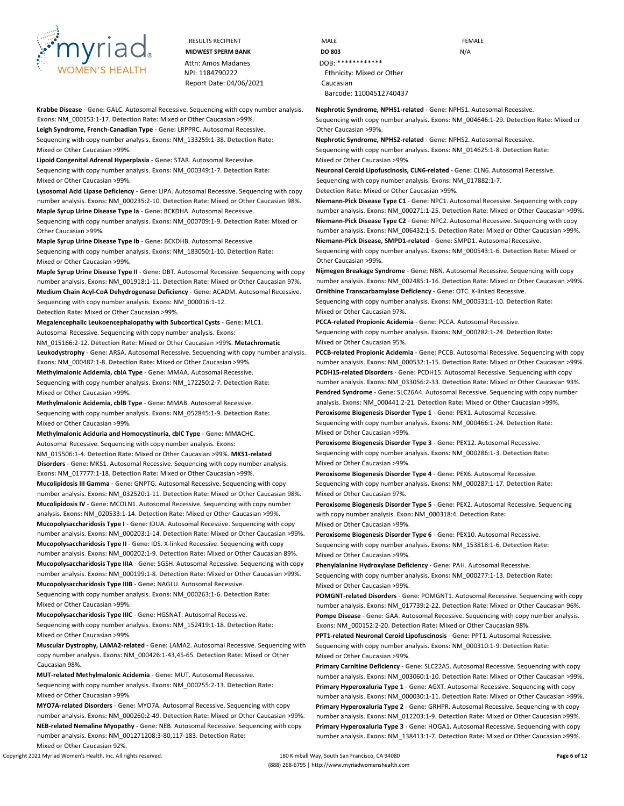

**Krabbe Disease** - **Gene:** GALC. Autosomal Recessive. Sequencing with copy number analysis. **Exons:** NM\_000153:1-17. **Detection Rate:** Mixed or Other Caucasian >99%. **Leigh Syndrome, French-Canadian Type** - **Gene:** LRPPRC. Autosomal Recessive.

Sequencing with copy number analysis. **Exons:** NM\_133259:1-38. **Detection Rate:** Mixed or Other Caucasian >99%.

**Lipoid Congenital Adrenal Hyperplasia** - **Gene:** STAR. Autosomal Recessive.

Sequencing with copy number analysis. **Exons:** NM\_000349:1-7. **Detection Rate:** Mixed or Other Caucasian >99%.

**Lysosomal Acid Lipase Deficiency** - **Gene:** LIPA. Autosomal Recessive. Sequencing with copy number analysis. **Exons:** NM\_000235:2-10. **Detection Rate:** Mixed or Other Caucasian 98%. **Maple Syrup Urine Disease Type Ia** - **Gene:** BCKDHA. Autosomal Recessive.

Sequencing with copy number analysis. **Exons:** NM\_000709:1-9. **Detection Rate:** Mixed or Other Caucasian >99%.

**Maple Syrup Urine Disease Type Ib** - **Gene:** BCKDHB. Autosomal Recessive. Sequencing with copy number analysis. **Exons:** NM\_183050:1-10. **Detection Rate:** Mixed or Other Caucasian >99%.

**Maple Syrup Urine Disease Type II** - **Gene:** DBT. Autosomal Recessive. Sequencing with copy number analysis. **Exons:** NM\_001918:1-11. **Detection Rate:** Mixed or Other Caucasian 97%. **Medium Chain Acyl-CoA Dehydrogenase Deficiency** - **Gene:** ACADM. Autosomal Recessive. Sequencing with copy number analysis. **Exons:** NM\_000016:1-12.

**Detection Rate:** Mixed or Other Caucasian >99%.

**Megalencephalic Leukoencephalopathy with Subcortical Cysts** - **Gene:** MLC1. Autosomal Recessive. Sequencing with copy number analysis. **Exons:** NM\_015166:2-12. **Detection Rate:** Mixed or Other Caucasian >99%. **Metachromatic Leukodystrophy** - **Gene:** ARSA. Autosomal Recessive. Sequencing with copy number analysis.

**Exons:** NM\_000487:1-8. **Detection Rate:** Mixed or Other Caucasian >99%. **Methylmalonic Acidemia, cblA Type** - **Gene:** MMAA. Autosomal Recessive.

Sequencing with copy number analysis. **Exons:** NM\_172250:2-7. **Detection Rate:** Mixed or Other Caucasian >99%.

**Methylmalonic Acidemia, cblB Type** - **Gene:** MMAB. Autosomal Recessive. Sequencing with copy number analysis. **Exons:** NM\_052845:1-9. **Detection Rate:** Mixed or Other Caucasian >99%.

**Methylmalonic Aciduria and Homocystinuria, cblC Type** - **Gene:** MMACHC.

Autosomal Recessive. Sequencing with copy number analysis. **Exons:** NM\_015506:1-4. **Detection Rate:** Mixed or Other Caucasian >99%. **MKS1-related Disorders** - **Gene:** MKS1. Autosomal Recessive. Sequencing with copy number analysis. **Exons:** NM\_017777:1-18. **Detection Rate:** Mixed or Other Caucasian >99%. **Mucolipidosis III Gamma** - **Gene:** GNPTG. Autosomal Recessive. Sequencing with copy number analysis. **Exons:** NM\_032520:1-11. **Detection Rate:** Mixed or Other Caucasian 98%. **Mucolipidosis IV** - **Gene:** MCOLN1. Autosomal Recessive. Sequencing with copy number analysis. **Exons:** NM\_020533:1-14. **Detection Rate:** Mixed or Other Caucasian >99%.

**Mucopolysaccharidosis Type I** - **Gene:** IDUA. Autosomal Recessive. Sequencing with copy number analysis. **Exons:** NM\_000203:1-14. **Detection Rate:** Mixed or Other Caucasian >99%. **Mucopolysaccharidosis Type II** - **Gene:** IDS. X-linked Recessive. Sequencing with copy

number analysis. **Exons:** NM\_000202:1-9. **Detection Rate:** Mixed or Other Caucasian 89%. **Mucopolysaccharidosis Type IIIA** - **Gene:** SGSH. Autosomal Recessive. Sequencing with copy number analysis. **Exons:** NM\_000199:1-8. **Detection Rate:** Mixed or Other Caucasian >99%. **Mucopolysaccharidosis Type IIIB** - **Gene:** NAGLU. Autosomal Recessive.

Sequencing with copy number analysis. **Exons:** NM\_000263:1-6. **Detection Rate:** Mixed or Other Caucasian >99%.

**Mucopolysaccharidosis Type IIIC** - **Gene:** HGSNAT. Autosomal Recessive. Sequencing with copy number analysis. **Exons:** NM\_152419:1-18. **Detection Rate:** Mixed or Other Caucasian >99%.

**Muscular Dystrophy, LAMA2-related** - **Gene:** LAMA2. Autosomal Recessive. Sequencing with copy number analysis. **Exons:** NM\_000426:1-43,45-65. **Detection Rate:** Mixed or Other Caucasian 98%.

**MUT-related Methylmalonic Acidemia** - **Gene:** MUT. Autosomal Recessive. Sequencing with copy number analysis. **Exons:** NM\_000255:2-13. **Detection Rate:** Mixed or Other Caucasian >99%.

**MYO7A-related Disorders** - **Gene:** MYO7A. Autosomal Recessive. Sequencing with copy number analysis. **Exons:** NM\_000260:2-49. **Detection Rate:** Mixed or Other Caucasian >99%. **NEB-related Nemaline Myopathy** - **Gene:** NEB. Autosomal Recessive. Sequencing with copy number analysis. **Exons:** NM\_001271208:3-80,117-183. **Detection Rate:** Mixed or Other Caucasian 92%.

RESULTS RECIPIENT **MALE** MALE **FEMALE MIDWEST SPERM BANK DO 803 DO 803** N/A NPI: 1184790222 Ethnicity: Mixed or Other Barcode: 11004512740437

**Nephrotic Syndrome, NPHS1-related** - **Gene:** NPHS1. Autosomal Recessive.

Sequencing with copy number analysis. **Exons:** NM\_004646:1-29. **Detection Rate:** Mixed or Other Caucasian >99%.

**Nephrotic Syndrome, NPHS2-related** - **Gene:** NPHS2. Autosomal Recessive.

Sequencing with copy number analysis. **Exons:** NM\_014625:1-8. **Detection Rate:** Mixed or Other Caucasian >99%.

**Neuronal Ceroid Lipofuscinosis, CLN6-related** - **Gene:** CLN6. Autosomal Recessive. Sequencing with copy number analysis. **Exons:** NM\_017882:1-7.

**Detection Rate:** Mixed or Other Caucasian >99%.

**Niemann-Pick Disease Type C1** - **Gene:** NPC1. Autosomal Recessive. Sequencing with copy number analysis. **Exons:** NM\_000271:1-25. **Detection Rate:** Mixed or Other Caucasian >99%. **Niemann-Pick Disease Type C2** - **Gene:** NPC2. Autosomal Recessive. Sequencing with copy number analysis. **Exons:** NM\_006432:1-5. **Detection Rate:** Mixed or Other Caucasian >99%.

**Niemann-Pick Disease, SMPD1-related** - **Gene:** SMPD1. Autosomal Recessive. Sequencing with copy number analysis. **Exons:** NM\_000543:1-6. **Detection Rate:** Mixed or Other Caucasian >99%.

**Nijmegen Breakage Syndrome** - **Gene:** NBN. Autosomal Recessive. Sequencing with copy number analysis. **Exons:** NM\_002485:1-16. **Detection Rate:** Mixed or Other Caucasian >99%.

**Ornithine Transcarbamylase Deficiency** - **Gene:** OTC. X-linked Recessive. Sequencing with copy number analysis. **Exons:** NM\_000531:1-10. **Detection Rate:** Mixed or Other Caucasian 97%.

**PCCA-related Propionic Acidemia** - **Gene:** PCCA. Autosomal Recessive. Sequencing with copy number analysis. **Exons:** NM\_000282:1-24. **Detection Rate:** Mixed or Other Caucasian 95%.

**PCCB-related Propionic Acidemia** - **Gene:** PCCB. Autosomal Recessive. Sequencing with copy number analysis. **Exons:** NM\_000532:1-15. **Detection Rate:** Mixed or Other Caucasian >99%. **PCDH15-related Disorders** - **Gene:** PCDH15. Autosomal Recessive. Sequencing with copy number analysis. **Exons:** NM\_033056:2-33. **Detection Rate:** Mixed or Other Caucasian 93%. **Pendred Syndrome** - **Gene:** SLC26A4. Autosomal Recessive. Sequencing with copy number analysis. **Exons:** NM\_000441:2-21. **Detection Rate:** Mixed or Other Caucasian >99%.

**Peroxisome Biogenesis Disorder Type 1** - **Gene:** PEX1. Autosomal Recessive. Sequencing with copy number analysis. **Exons:** NM\_000466:1-24. **Detection Rate:** Mixed or Other Caucasian >99%.

**Peroxisome Biogenesis Disorder Type 3** - **Gene:** PEX12. Autosomal Recessive. Sequencing with copy number analysis. **Exons:** NM\_000286:1-3. **Detection Rate:** Mixed or Other Caucasian >99%.

**Peroxisome Biogenesis Disorder Type 4** - **Gene:** PEX6. Autosomal Recessive. Sequencing with copy number analysis. **Exons:** NM\_000287:1-17. **Detection Rate:** Mixed or Other Caucasian 97%.

**Peroxisome Biogenesis Disorder Type 5** - **Gene:** PEX2. Autosomal Recessive. Sequencing with copy number analysis. **Exon:** NM\_000318:4. **Detection Rate:** Mixed or Other Caucasian >99%.

**Peroxisome Biogenesis Disorder Type 6** - **Gene:** PEX10. Autosomal Recessive. Sequencing with copy number analysis. **Exons:** NM\_153818:1-6. **Detection Rate:** Mixed or Other Caucasian >99%.

**Phenylalanine Hydroxylase Deficiency** - **Gene:** PAH. Autosomal Recessive. Sequencing with copy number analysis. **Exons:** NM\_000277:1-13. **Detection Rate:** Mixed or Other Caucasian >99%.

**POMGNT-related Disorders** - **Gene:** POMGNT1. Autosomal Recessive. Sequencing with copy number analysis. **Exons:** NM\_017739:2-22. **Detection Rate:** Mixed or Other Caucasian 96%. **Pompe Disease** - **Gene:** GAA. Autosomal Recessive. Sequencing with copy number analysis. **Exons:** NM\_000152:2-20. **Detection Rate:** Mixed or Other Caucasian 98%.

**PPT1-related Neuronal Ceroid Lipofuscinosis** - **Gene:** PPT1. Autosomal Recessive. Sequencing with copy number analysis. **Exons:** NM\_000310:1-9. **Detection Rate:** Mixed or Other Caucasian >99%.

**Primary Carnitine Deficiency** - **Gene:** SLC22A5. Autosomal Recessive. Sequencing with copy number analysis. **Exons:** NM\_003060:1-10. **Detection Rate:** Mixed or Other Caucasian >99%. **Primary Hyperoxaluria Type 1** - **Gene:** AGXT. Autosomal Recessive. Sequencing with copy number analysis. **Exons:** NM\_000030:1-11. **Detection Rate:** Mixed or Other Caucasian >99%. **Primary Hyperoxaluria Type 2** - **Gene:** GRHPR. Autosomal Recessive. Sequencing with copy number analysis. **Exons:** NM\_012203:1-9. **Detection Rate:** Mixed or Other Caucasian >99%. **Primary Hyperoxaluria Type 3** - **Gene:** HOGA1. Autosomal Recessive. Sequencing with copy number analysis. **Exons:** NM\_138413:1-7. **Detection Rate:** Mixed or Other Caucasian >99%.

Copyright 2021 Myriad Women's Health, Inc. All rights reserved. 180 Kimball Way, South San Francisco, CA 94080 **Page 6 of 12**

(888) 268-6795 | http://www.myriadwomenshealth.com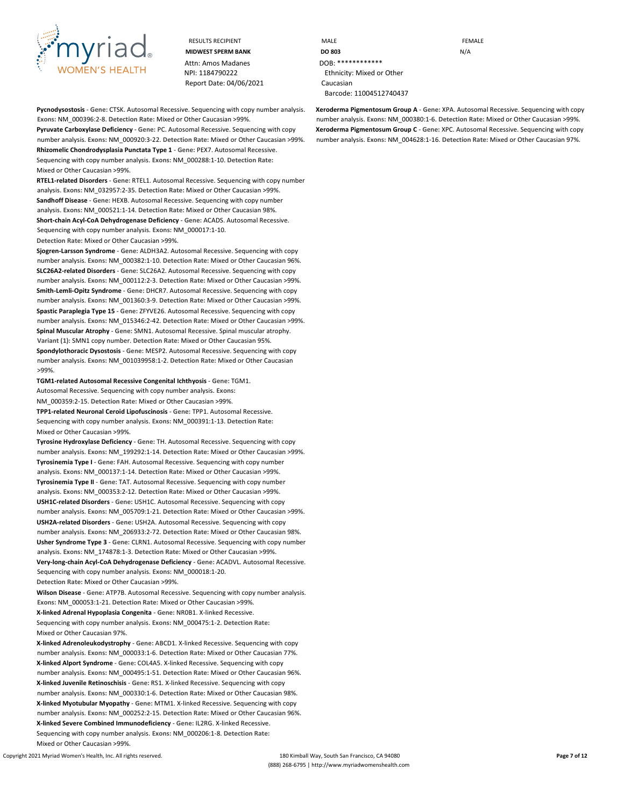

**Pycnodysostosis** - **Gene:** CTSK. Autosomal Recessive. Sequencing with copy number analysis. **Exons:** NM\_000396:2-8. **Detection Rate:** Mixed or Other Caucasian >99%.

**Pyruvate Carboxylase Deficiency** - **Gene:** PC. Autosomal Recessive. Sequencing with copy number analysis. **Exons:** NM\_000920:3-22. **Detection Rate:** Mixed or Other Caucasian >99%. **Rhizomelic Chondrodysplasia Punctata Type 1** - **Gene:** PEX7. Autosomal Recessive. Sequencing with copy number analysis. **Exons:** NM\_000288:1-10. **Detection Rate:** Mixed or Other Caucasian >99%.

**RTEL1-related Disorders** - **Gene:** RTEL1. Autosomal Recessive. Sequencing with copy number analysis. **Exons:** NM\_032957:2-35. **Detection Rate:** Mixed or Other Caucasian >99%. **Sandhoff Disease** - **Gene:** HEXB. Autosomal Recessive. Sequencing with copy number analysis. **Exons:** NM\_000521:1-14. **Detection Rate:** Mixed or Other Caucasian 98%. **Short-chain Acyl-CoA Dehydrogenase Deficiency** - **Gene:** ACADS. Autosomal Recessive. Sequencing with copy number analysis. **Exons:** NM\_000017:1-10. **Detection Rate:** Mixed or Other Caucasian >99%.

**Sjogren-Larsson Syndrome** - **Gene:** ALDH3A2. Autosomal Recessive. Sequencing with copy number analysis. **Exons:** NM\_000382:1-10. **Detection Rate:** Mixed or Other Caucasian 96%. **SLC26A2-related Disorders** - **Gene:** SLC26A2. Autosomal Recessive. Sequencing with copy number analysis. **Exons:** NM\_000112:2-3. **Detection Rate:** Mixed or Other Caucasian >99%. **Smith-Lemli-Opitz Syndrome** - **Gene:** DHCR7. Autosomal Recessive. Sequencing with copy number analysis. **Exons:** NM\_001360:3-9. **Detection Rate:** Mixed or Other Caucasian >99%. **Spastic Paraplegia Type 15** - **Gene:** ZFYVE26. Autosomal Recessive. Sequencing with copy number analysis. **Exons:** NM\_015346:2-42. **Detection Rate:** Mixed or Other Caucasian >99%. **Spinal Muscular Atrophy** - **Gene:** SMN1. Autosomal Recessive. Spinal muscular atrophy. **Variant (1):** SMN1 copy number. **Detection Rate:** Mixed or Other Caucasian 95%. **Spondylothoracic Dysostosis** - **Gene:** MESP2. Autosomal Recessive. Sequencing with copy number analysis. **Exons:** NM\_001039958:1-2. **Detection Rate:** Mixed or Other Caucasian >99%.

**TGM1-related Autosomal Recessive Congenital Ichthyosis** - **Gene:** TGM1. Autosomal Recessive. Sequencing with copy number analysis. **Exons:** NM\_000359:2-15. **Detection Rate:** Mixed or Other Caucasian >99%. **TPP1-related Neuronal Ceroid Lipofuscinosis** - **Gene:** TPP1. Autosomal Recessive. Sequencing with copy number analysis. **Exons:** NM\_000391:1-13. **Detection Rate:** Mixed or Other Caucasian >99%.

**Tyrosine Hydroxylase Deficiency** - **Gene:** TH. Autosomal Recessive. Sequencing with copy number analysis. **Exons:** NM\_199292:1-14. **Detection Rate:** Mixed or Other Caucasian >99%. **Tyrosinemia Type I** - **Gene:** FAH. Autosomal Recessive. Sequencing with copy number analysis. **Exons:** NM\_000137:1-14. **Detection Rate:** Mixed or Other Caucasian >99%. **Tyrosinemia Type II** - **Gene:** TAT. Autosomal Recessive. Sequencing with copy number analysis. **Exons:** NM\_000353:2-12. **Detection Rate:** Mixed or Other Caucasian >99%. **USH1C-related Disorders** - **Gene:** USH1C. Autosomal Recessive. Sequencing with copy number analysis. **Exons:** NM\_005709:1-21. **Detection Rate:** Mixed or Other Caucasian >99%. **USH2A-related Disorders** - **Gene:** USH2A. Autosomal Recessive. Sequencing with copy number analysis. **Exons:** NM\_206933:2-72. **Detection Rate:** Mixed or Other Caucasian 98%. **Usher Syndrome Type 3** - **Gene:** CLRN1. Autosomal Recessive. Sequencing with copy number analysis. **Exons:** NM\_174878:1-3. **Detection Rate:** Mixed or Other Caucasian >99%. **Very-long-chain Acyl-CoA Dehydrogenase Deficiency** - **Gene:** ACADVL. Autosomal Recessive. Sequencing with copy number analysis. **Exons:** NM\_000018:1-20.

**Detection Rate:** Mixed or Other Caucasian >99%.

**Wilson Disease** - **Gene:** ATP7B. Autosomal Recessive. Sequencing with copy number analysis. **Exons:** NM\_000053:1-21. **Detection Rate:** Mixed or Other Caucasian >99%.

**X-linked Adrenal Hypoplasia Congenita** - **Gene:** NR0B1. X-linked Recessive. Sequencing with copy number analysis. **Exons:** NM\_000475:1-2. **Detection Rate:** Mixed or Other Caucasian 97%.

**X-linked Adrenoleukodystrophy** - **Gene:** ABCD1. X-linked Recessive. Sequencing with copy number analysis. **Exons:** NM\_000033:1-6. **Detection Rate:** Mixed or Other Caucasian 77%. **X-linked Alport Syndrome** - **Gene:** COL4A5. X-linked Recessive. Sequencing with copy number analysis. **Exons:** NM\_000495:1-51. **Detection Rate:** Mixed or Other Caucasian 96%. **X-linked Juvenile Retinoschisis** - **Gene:** RS1. X-linked Recessive. Sequencing with copy number analysis. **Exons:** NM\_000330:1-6. **Detection Rate:** Mixed or Other Caucasian 98%. **X-linked Myotubular Myopathy** - **Gene:** MTM1. X-linked Recessive. Sequencing with copy number analysis. **Exons:** NM\_000252:2-15. **Detection Rate:** Mixed or Other Caucasian 96%. **X-linked Severe Combined Immunodeficiency** - **Gene:** IL2RG. X-linked Recessive. Sequencing with copy number analysis. **Exons:** NM\_000206:1-8. **Detection Rate:** Mixed or Other Caucasian >99%.

RESULTS RECIPIENT **MALE MALE CONSIDERING MIDWEST SPERM BANK DO 803** N/A NPI: 1184790222 Ethnicity: Mixed or Other Barcode: 11004512740437

> **Xeroderma Pigmentosum Group A** - **Gene:** XPA. Autosomal Recessive. Sequencing with copy number analysis. **Exons:** NM\_000380:1-6. **Detection Rate:** Mixed or Other Caucasian >99%. **Xeroderma Pigmentosum Group C** - **Gene:** XPC. Autosomal Recessive. Sequencing with copy number analysis. **Exons:** NM\_004628:1-16. **Detection Rate:** Mixed or Other Caucasian 97%.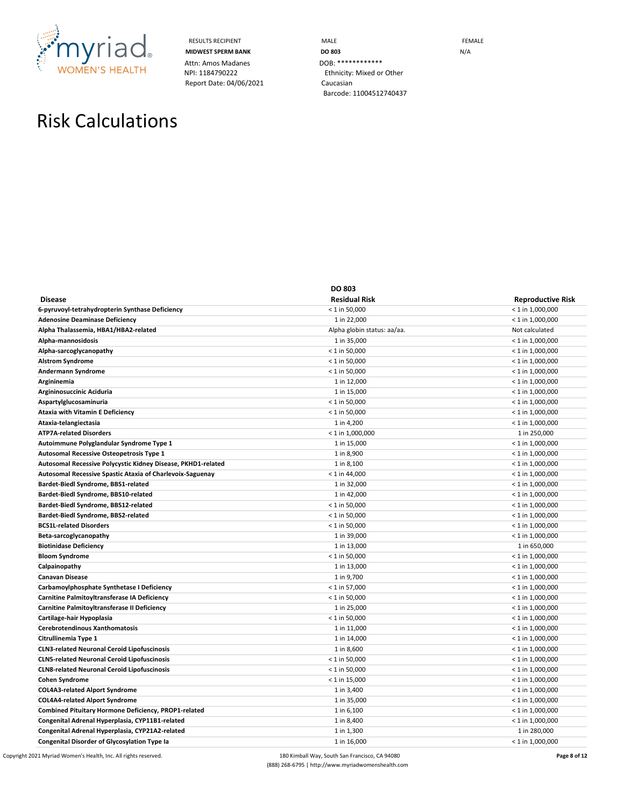

Attn: Amos Madanes DOB: \*\*\*\*\*\*\*\*\*\*\*\*\*\*<br>
NPI: 1184790222 Ethnicity: Mixed or Report Date: 04/06/2021 Caucasian

RESULTS RECIPIENT **MALE MALE MIDWEST SPERM BANK DO 803 DO 803** N/A Ethnicity: Mixed or Other Barcode: 11004512740437

## Risk Calculations

|                                                              | <b>DO 803</b>               |                          |
|--------------------------------------------------------------|-----------------------------|--------------------------|
| <b>Disease</b>                                               | <b>Residual Risk</b>        | <b>Reproductive Risk</b> |
| 6-pyruvoyl-tetrahydropterin Synthase Deficiency              | $< 1$ in 50,000             | $< 1$ in 1,000,000       |
| <b>Adenosine Deaminase Deficiency</b>                        | 1 in 22,000                 | $< 1$ in 1,000,000       |
| Alpha Thalassemia, HBA1/HBA2-related                         | Alpha globin status: aa/aa. | Not calculated           |
| Alpha-mannosidosis                                           | 1 in 35,000                 | $< 1$ in 1,000,000       |
| Alpha-sarcoglycanopathy                                      | $< 1$ in 50,000             | $< 1$ in 1,000,000       |
| <b>Alstrom Syndrome</b>                                      | $< 1$ in 50,000             | $<$ 1 in 1,000,000       |
| Andermann Syndrome                                           | $< 1$ in 50,000             | $< 1$ in 1,000,000       |
| Argininemia                                                  | 1 in 12,000                 | $< 1$ in 1,000,000       |
| Argininosuccinic Aciduria                                    | 1 in 15,000                 | $< 1$ in 1,000,000       |
| Aspartylglucosaminuria                                       | $<$ 1 in 50,000             | $<$ 1 in 1,000,000       |
| <b>Ataxia with Vitamin E Deficiency</b>                      | $< 1$ in 50,000             | $<$ 1 in 1,000,000       |
| Ataxia-telangiectasia                                        | 1 in 4,200                  | $< 1$ in 1,000,000       |
| <b>ATP7A-related Disorders</b>                               | $<$ 1 in 1,000,000          | 1 in 250,000             |
| Autoimmune Polyglandular Syndrome Type 1                     | 1 in 15,000                 | $< 1$ in 1,000,000       |
| Autosomal Recessive Osteopetrosis Type 1                     | 1 in 8,900                  | $< 1$ in 1,000,000       |
| Autosomal Recessive Polycystic Kidney Disease, PKHD1-related | 1 in 8,100                  | $<$ 1 in 1,000,000       |
| Autosomal Recessive Spastic Ataxia of Charlevoix-Saguenay    | $<$ 1 in 44,000             | $<$ 1 in 1,000,000       |
| Bardet-Biedl Syndrome, BBS1-related                          | 1 in 32,000                 | $<$ 1 in 1,000,000       |
| Bardet-Biedl Syndrome, BBS10-related                         | 1 in 42,000                 | $<$ 1 in 1,000,000       |
| Bardet-Biedl Syndrome, BBS12-related                         | $< 1$ in 50,000             | $< 1$ in 1,000,000       |
| Bardet-Biedl Syndrome, BBS2-related                          | $< 1$ in 50,000             | $< 1$ in 1,000,000       |
| <b>BCS1L-related Disorders</b>                               | $< 1$ in 50,000             | $<$ 1 in 1,000,000       |
| Beta-sarcoglycanopathy                                       | 1 in 39,000                 | $<$ 1 in 1,000,000       |
| <b>Biotinidase Deficiency</b>                                | 1 in 13,000                 | 1 in 650,000             |
| <b>Bloom Syndrome</b>                                        | $< 1$ in 50,000             | $< 1$ in 1,000,000       |
| Calpainopathy                                                | 1 in 13,000                 | $< 1$ in 1,000,000       |
| Canavan Disease                                              | 1 in 9,700                  | $<$ 1 in 1,000,000       |
| Carbamoylphosphate Synthetase I Deficiency                   | $< 1$ in 57,000             | $<$ 1 in 1,000,000       |
| Carnitine Palmitoyltransferase IA Deficiency                 | $< 1$ in 50,000             | $<$ 1 in 1,000,000       |
| Carnitine Palmitoyltransferase II Deficiency                 | 1 in 25,000                 | $< 1$ in 1,000,000       |
| Cartilage-hair Hypoplasia                                    | $< 1$ in 50,000             | $< 1$ in 1,000,000       |
| Cerebrotendinous Xanthomatosis                               | 1 in 11,000                 | $< 1$ in 1,000,000       |
| Citrullinemia Type 1                                         | 1 in 14,000                 | $<$ 1 in 1,000,000       |
| <b>CLN3-related Neuronal Ceroid Lipofuscinosis</b>           | 1 in 8,600                  | $<$ 1 in 1,000,000       |
| <b>CLN5-related Neuronal Ceroid Lipofuscinosis</b>           | $< 1$ in 50,000             | $<$ 1 in 1,000,000       |
| <b>CLN8-related Neuronal Ceroid Lipofuscinosis</b>           | $< 1$ in 50,000             | $< 1$ in 1,000,000       |
| <b>Cohen Syndrome</b>                                        | $< 1$ in 15,000             | $< 1$ in 1,000,000       |
| <b>COL4A3-related Alport Syndrome</b>                        | 1 in 3,400                  | $<$ 1 in 1,000,000       |
| <b>COL4A4-related Alport Syndrome</b>                        | 1 in 35,000                 | $<$ 1 in 1,000,000       |
| Combined Pituitary Hormone Deficiency, PROP1-related         | 1 in 6,100                  | $< 1$ in 1,000,000       |
| Congenital Adrenal Hyperplasia, CYP11B1-related              | 1 in 8,400                  | $< 1$ in 1,000,000       |
| Congenital Adrenal Hyperplasia, CYP21A2-related              | 1 in 1,300                  | 1 in 280,000             |
| <b>Congenital Disorder of Glycosylation Type Ia</b>          | 1 in 16,000                 | $< 1$ in 1,000,000       |

Copyright 2021 Myriad Women's Health, Inc. All rights reserved. **180** Kimball Way, South San Francisco, CA 94080 **Page 8 of 12 Page 8 of 12** (888) 268-6795 | http://www.myriadwomenshealth.com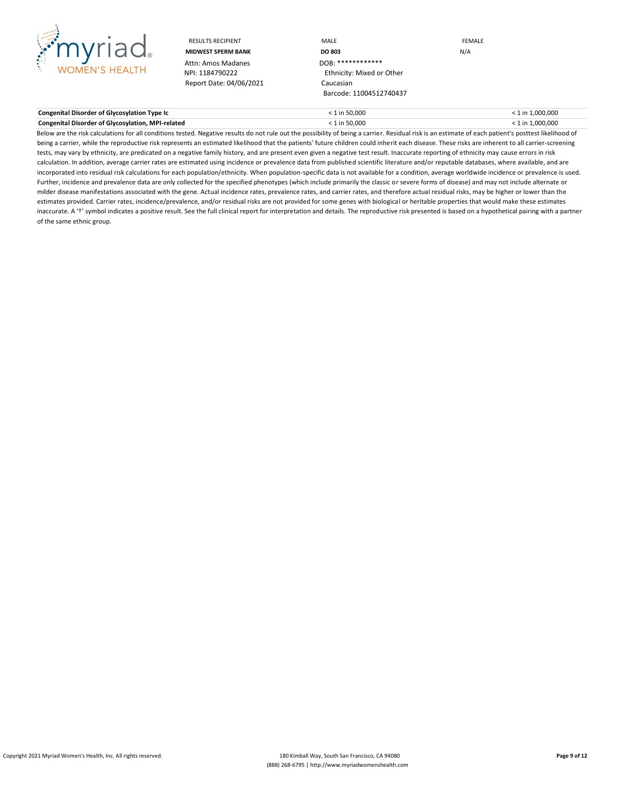

Attn: Amos Madanes<br>NPI: 1184790222 Report Date: 04/06/2021 Caucasian

RESULTS RECIPIENT **MALE MALE EXAMPLE MIDWEST SPERM BANK DO 803 DO 803 DO 803 DO 803 DO 803 DO 803 DO 803 DO 803 DO 803 DO 803 DO 803** Ethnicity: Mixed or Other Barcode: 11004512740437

| Congenital Disorder of Glycosylation Type Ic             | ! in 50.000 | 1 in 1.000.000 |
|----------------------------------------------------------|-------------|----------------|
| <b>Congenital Disorder of Glycosylation, MPI-related</b> | ! in 50.000 | 1 in 1.000.000 |

Below are the risk calculations for all conditions tested. Negative results do not rule out the possibility of being a carrier. Residual risk is an estimate of each patient's posttest likelihood of being a carrier, while the reproductive risk represents an estimated likelihood that the patients' future children could inherit each disease. These risks are inherent to all carrier-screening tests, may vary by ethnicity, are predicated on a negative family history, and are present even given a negative test result. Inaccurate reporting of ethnicity may cause errors in risk calculation. In addition, average carrier rates are estimated using incidence or prevalence data from published scientific literature and/or reputable databases, where available, and are incorporated into residual risk calculations for each population/ethnicity. When population-specific data is not available for a condition, average worldwide incidence or prevalence is used. Further, incidence and prevalence data are only collected for the specified phenotypes (which include primarily the classic or severe forms of disease) and may not include alternate or milder disease manifestations associated with the gene. Actual incidence rates, prevalence rates, and carrier rates, and therefore actual residual risks, may be higher or lower than the estimates provided. Carrier rates, incidence/prevalence, and/or residual risks are not provided for some genes with biological or heritable properties that would make these estimates inaccurate. A 't' symbol indicates a positive result. See the full clinical report for interpretation and details. The reproductive risk presented is based on a hypothetical pairing with a partner of the same ethnic group.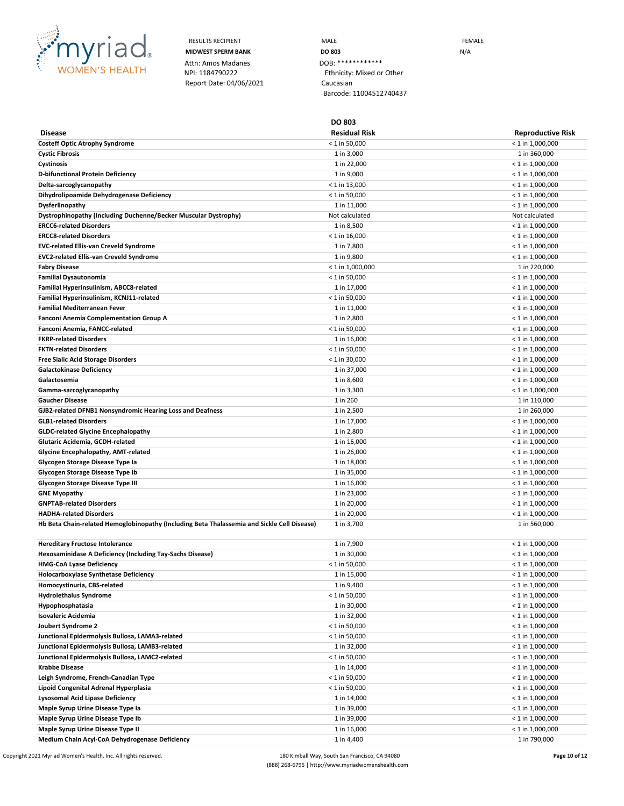

**Disease**

Attn: Amos Madanes DOB: \*\*\*\*\*\*\*\*\*\*\*\*\*\*<br>
NPI: 1184790222 Ethnicity: Mixed or Report Date: 04/06/2021 Caucasian

RESULTS RECIPIENT **MALE MALE EXAMPLE MIDWEST SPERM BANK DO 803 DO 803** N/A Ethnicity: Mixed or Other Barcode: 11004512740437

**DO 803**

**Residual Risk Reproductive Risk**

| <b>Costeff Optic Atrophy Syndrome</b>                                                       | $< 1$ in 50,000    | $<$ 1 in 1,000,000 |
|---------------------------------------------------------------------------------------------|--------------------|--------------------|
| <b>Cystic Fibrosis</b>                                                                      | 1 in 3,000         | 1 in 360,000       |
| Cystinosis                                                                                  | 1 in 22,000        | $<$ 1 in 1,000,000 |
| D-bifunctional Protein Deficiency                                                           | 1 in 9,000         | $<$ 1 in 1,000,000 |
| Delta-sarcoglycanopathy                                                                     | $<$ 1 in 13,000    | $<$ 1 in 1,000,000 |
| Dihydrolipoamide Dehydrogenase Deficiency                                                   | $<$ 1 in 50,000    | $< 1$ in 1,000,000 |
| Dysferlinopathy                                                                             | 1 in 11,000        | $<$ 1 in 1,000,000 |
| Dystrophinopathy (Including Duchenne/Becker Muscular Dystrophy)                             | Not calculated     | Not calculated     |
| <b>ERCC6-related Disorders</b>                                                              | 1 in 8,500         | $<$ 1 in 1,000,000 |
| <b>ERCC8-related Disorders</b>                                                              | $<$ 1 in 16,000    | $<$ 1 in 1,000,000 |
| <b>EVC-related Ellis-van Creveld Syndrome</b>                                               | 1 in 7,800         | $<$ 1 in 1,000,000 |
| EVC2-related Ellis-van Creveld Syndrome                                                     | 1 in 9,800         | $<$ 1 in 1,000,000 |
| <b>Fabry Disease</b>                                                                        | $<$ 1 in 1,000,000 | 1 in 220,000       |
| <b>Familial Dysautonomia</b>                                                                | $< 1$ in 50,000    | $< 1$ in 1,000,000 |
| Familial Hyperinsulinism, ABCC8-related                                                     | 1 in 17,000        | $<$ 1 in 1,000,000 |
|                                                                                             |                    |                    |
| Familial Hyperinsulinism, KCNJ11-related                                                    | $<$ 1 in 50,000    | $<$ 1 in 1,000,000 |
| Familial Mediterranean Fever                                                                | 1 in 11,000        | $<$ 1 in 1,000,000 |
| <b>Fanconi Anemia Complementation Group A</b>                                               | 1 in 2,800         | $<$ 1 in 1,000,000 |
| Fanconi Anemia, FANCC-related                                                               | $<$ 1 in 50,000    | $<$ 1 in 1,000,000 |
| <b>FKRP-related Disorders</b>                                                               | 1 in 16,000        | $<$ 1 in 1,000,000 |
| <b>FKTN-related Disorders</b>                                                               | $< 1$ in 50,000    | $<$ 1 in 1,000,000 |
| Free Sialic Acid Storage Disorders                                                          | $<$ 1 in 30,000    | $<$ 1 in 1,000,000 |
| <b>Galactokinase Deficiency</b>                                                             | 1 in 37,000        | $<$ 1 in 1,000,000 |
| Galactosemia                                                                                | 1 in 8,600         | $<$ 1 in 1,000,000 |
| Gamma-sarcoglycanopathy                                                                     | 1 in 3,300         | $< 1$ in 1,000,000 |
| <b>Gaucher Disease</b>                                                                      | 1 in 260           | 1 in 110,000       |
| GJB2-related DFNB1 Nonsyndromic Hearing Loss and Deafness                                   | 1 in 2,500         | 1 in 260,000       |
| <b>GLB1-related Disorders</b>                                                               | 1 in 17,000        | $<$ 1 in 1,000,000 |
| <b>GLDC-related Glycine Encephalopathy</b>                                                  | 1 in 2,800         | $<$ 1 in 1,000,000 |
| Glutaric Acidemia, GCDH-related                                                             | 1 in 16,000        | $<$ 1 in 1,000,000 |
| Glycine Encephalopathy, AMT-related                                                         | 1 in 26,000        | $<$ 1 in 1,000,000 |
| Glycogen Storage Disease Type Ia                                                            | 1 in 18,000        | $<$ 1 in 1,000,000 |
| Glycogen Storage Disease Type Ib                                                            | 1 in 35,000        | $<$ 1 in 1,000,000 |
| Glycogen Storage Disease Type III                                                           | 1 in 16,000        | $<$ 1 in 1,000,000 |
| <b>GNE Myopathy</b>                                                                         | 1 in 23,000        | $<$ 1 in 1,000,000 |
| <b>GNPTAB-related Disorders</b>                                                             | 1 in 20,000        | $<$ 1 in 1,000,000 |
| <b>HADHA-related Disorders</b>                                                              | 1 in 20,000        | $<$ 1 in 1,000,000 |
| Hb Beta Chain-related Hemoglobinopathy (Including Beta Thalassemia and Sickle Cell Disease) | 1 in 3,700         | 1 in 560,000       |
| <b>Hereditary Fructose Intolerance</b>                                                      | 1 in 7,900         | $<$ 1 in 1,000,000 |
| Hexosaminidase A Deficiency (Including Tay-Sachs Disease)                                   | 1 in 30,000        | $< 1$ in 1,000,000 |
| HMG-CoA Lyase Deficiency                                                                    | $< 1$ in 50,000    | $<$ 1 in 1,000,000 |
| Holocarboxylase Synthetase Deficiency                                                       | 1 in 15,000        | $<$ 1 in 1,000,000 |
| Homocystinuria, CBS-related                                                                 | 1 in 9,400         | $< 1$ in 1,000,000 |
| <b>Hydrolethalus Syndrome</b>                                                               | $< 1$ in 50,000    | $< 1$ in 1,000,000 |
| Hypophosphatasia                                                                            | 1 in 30,000        | $< 1$ in 1,000,000 |
| <b>Isovaleric Acidemia</b>                                                                  | 1 in 32,000        | $<$ 1 in 1,000,000 |
| Joubert Syndrome 2                                                                          | $< 1$ in 50,000    | $< 1$ in 1,000,000 |
| Junctional Epidermolysis Bullosa, LAMA3-related                                             | $< 1$ in 50,000    | $<$ 1 in 1,000,000 |
| Junctional Epidermolysis Bullosa, LAMB3-related                                             | 1 in 32,000        | $<$ 1 in 1,000,000 |
| Junctional Epidermolysis Bullosa, LAMC2-related                                             | $< 1$ in 50,000    | $< 1$ in 1,000,000 |
| Krabbe Disease                                                                              | 1 in 14,000        | $<$ 1 in 1,000,000 |
| Leigh Syndrome, French-Canadian Type                                                        | $< 1$ in 50,000    | $< 1$ in 1,000,000 |
| Lipoid Congenital Adrenal Hyperplasia                                                       |                    |                    |
|                                                                                             | $< 1$ in 50,000    | $<$ 1 in 1,000,000 |
| Lysosomal Acid Lipase Deficiency                                                            | 1 in 14,000        | $<$ 1 in 1,000,000 |
| Maple Syrup Urine Disease Type la                                                           | 1 in 39,000        | $<$ 1 in 1,000,000 |
| Maple Syrup Urine Disease Type Ib                                                           | 1 in 39,000        | $<$ 1 in 1,000,000 |
| Maple Syrup Urine Disease Type II                                                           | 1 in 16,000        | $<$ 1 in 1,000,000 |
| Medium Chain Acyl-CoA Dehydrogenase Deficiency                                              | 1 in 4,400         | 1 in 790,000       |

Copyright 2021 Myriad Women's Health, Inc. All rights reserved. **180 Kimball Way, South San Francisco, CA 94080 Page 100 for 12 Page 10 of 12** (888) 268-6795 | http://www.myriadwomenshealth.com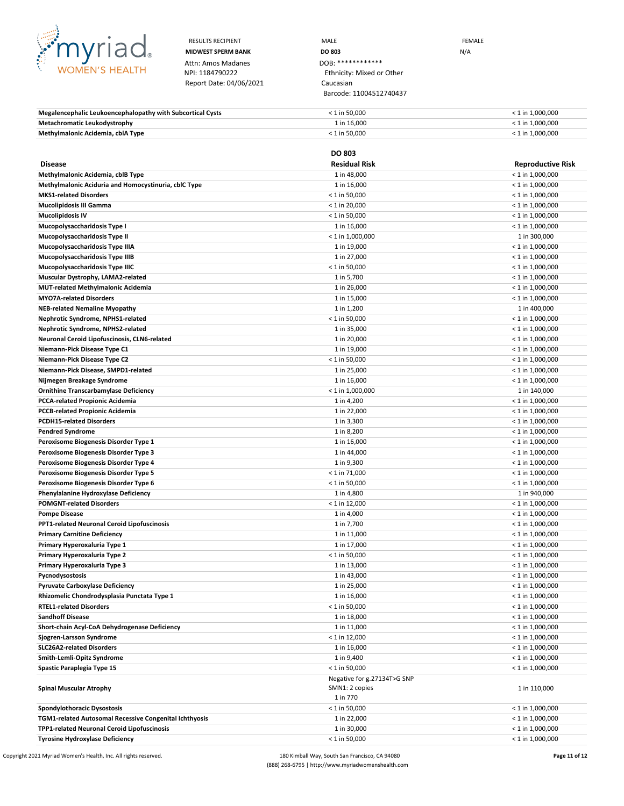

Attn: Amos Madanes<br>NPI: 1184790222 Report Date: 04/06/2021 Caucasian

RESULTS RECIPIENT **MALE MALE EXAMPLE MIDWEST SPERM BANK DO 803** N/A Ethnicity: Mixed or Other Barcode: 11004512740437

| Megalencephalic Leukoencephalopathy with Subcortical Cysts | $< 1$ in 50.000 | $<$ 1 in 1.000.000 |
|------------------------------------------------------------|-----------------|--------------------|
| <b>Metachromatic Leukodystrophy</b>                        | 1 in 16.000     | $<$ 1 in 1.000.000 |
| Methylmalonic Acidemia, cblA Type                          | $< 1$ in 50.000 | $<$ 1 in 1.000.000 |

|                                                        | <b>DO 803</b>               |                          |
|--------------------------------------------------------|-----------------------------|--------------------------|
| <b>Disease</b>                                         | <b>Residual Risk</b>        | <b>Reproductive Risk</b> |
| Methylmalonic Acidemia, cblB Type                      | 1 in 48,000                 | $<$ 1 in 1,000,000       |
| Methylmalonic Aciduria and Homocystinuria, cblC Type   | 1 in 16,000                 | $<$ 1 in 1,000,000       |
| <b>MKS1-related Disorders</b>                          | $< 1$ in 50,000             | $<$ 1 in 1,000,000       |
| <b>Mucolipidosis III Gamma</b>                         | $<$ 1 in 20,000             | $<$ 1 in 1,000,000       |
| <b>Mucolipidosis IV</b>                                | $< 1$ in 50,000             | $<$ 1 in 1,000,000       |
| Mucopolysaccharidosis Type I                           | 1 in 16,000                 | $<$ 1 in 1,000,000       |
| Mucopolysaccharidosis Type II                          | $<$ 1 in 1,000,000          | 1 in 300,000             |
| Mucopolysaccharidosis Type IIIA                        | 1 in 19,000                 | $<$ 1 in 1,000,000       |
| Mucopolysaccharidosis Type IIIB                        | 1 in 27,000                 | $<$ 1 in 1,000,000       |
| Mucopolysaccharidosis Type IIIC                        | $< 1$ in 50,000             | $<$ 1 in 1,000,000       |
| Muscular Dystrophy, LAMA2-related                      | 1 in 5,700                  | $<$ 1 in 1,000,000       |
| <b>MUT-related Methylmalonic Acidemia</b>              | 1 in 26,000                 | $<$ 1 in 1,000,000       |
| <b>MYO7A-related Disorders</b>                         | 1 in 15,000                 | $<$ 1 in 1,000,000       |
| <b>NEB-related Nemaline Myopathy</b>                   | 1 in 1,200                  | 1 in 400,000             |
| Nephrotic Syndrome, NPHS1-related                      | $< 1$ in 50,000             | $<$ 1 in 1,000,000       |
| Nephrotic Syndrome, NPHS2-related                      | 1 in 35,000                 | $<$ 1 in 1,000,000       |
| Neuronal Ceroid Lipofuscinosis, CLN6-related           | 1 in 20,000                 | $<$ 1 in 1,000,000       |
| Niemann-Pick Disease Type C1                           | 1 in 19,000                 | $<$ 1 in 1,000,000       |
| Niemann-Pick Disease Type C2                           | $< 1$ in 50,000             | $<$ 1 in 1,000,000       |
| Niemann-Pick Disease, SMPD1-related                    | 1 in 25,000                 | $<$ 1 in 1,000,000       |
| Nijmegen Breakage Syndrome                             | 1 in 16,000                 | $<$ 1 in 1,000,000       |
| <b>Ornithine Transcarbamylase Deficiency</b>           | $< 1$ in 1,000,000          | 1 in 140,000             |
| <b>PCCA-related Propionic Acidemia</b>                 | 1 in 4,200                  | $<$ 1 in 1,000,000       |
| <b>PCCB-related Propionic Acidemia</b>                 | 1 in 22,000                 | $<$ 1 in 1,000,000       |
| <b>PCDH15-related Disorders</b>                        | 1 in 3,300                  | $<$ 1 in 1,000,000       |
| <b>Pendred Syndrome</b>                                | 1 in 8,200                  | $<$ 1 in 1,000,000       |
| Peroxisome Biogenesis Disorder Type 1                  | 1 in 16,000                 | $<$ 1 in 1,000,000       |
| Peroxisome Biogenesis Disorder Type 3                  | 1 in 44,000                 | $<$ 1 in 1,000,000       |
| Peroxisome Biogenesis Disorder Type 4                  | 1 in 9,300                  | $<$ 1 in 1,000,000       |
| Peroxisome Biogenesis Disorder Type 5                  | $< 1$ in 71,000             | $<$ 1 in 1,000,000       |
| Peroxisome Biogenesis Disorder Type 6                  | $< 1$ in 50,000             | $<$ 1 in 1,000,000       |
| Phenylalanine Hydroxylase Deficiency                   | 1 in 4,800                  | 1 in 940,000             |
| <b>POMGNT-related Disorders</b>                        | $< 1$ in 12,000             | $<$ 1 in 1,000,000       |
| <b>Pompe Disease</b>                                   | 1 in 4,000                  | $<$ 1 in 1,000,000       |
| <b>PPT1-related Neuronal Ceroid Lipofuscinosis</b>     | 1 in 7,700                  | $<$ 1 in 1,000,000       |
| <b>Primary Carnitine Deficiency</b>                    | 1 in 11,000                 | $<$ 1 in 1,000,000       |
| Primary Hyperoxaluria Type 1                           | 1 in 17,000                 | $<$ 1 in 1,000,000       |
| Primary Hyperoxaluria Type 2                           | $< 1$ in 50,000             | $<$ 1 in 1,000,000       |
| Primary Hyperoxaluria Type 3                           | 1 in 13,000                 | $<$ 1 in 1,000,000       |
| Pycnodysostosis                                        | 1 in 43,000                 | $<$ 1 in 1,000,000       |
| <b>Pyruvate Carboxylase Deficiency</b>                 | 1 in 25,000                 | $<$ 1 in 1,000,000       |
| Rhizomelic Chondrodysplasia Punctata Type 1            | 1 in 16,000                 | $<$ 1 in 1,000,000       |
| <b>RTEL1-related Disorders</b>                         | $< 1$ in 50,000             | $<$ 1 in 1,000,000       |
| <b>Sandhoff Disease</b>                                | 1 in 18,000                 | $< 1$ in 1,000,000       |
| Short-chain Acyl-CoA Dehydrogenase Deficiency          | 1 in 11,000                 | $<$ 1 in 1,000,000       |
| Sjogren-Larsson Syndrome                               | $< 1$ in 12,000             | $< 1$ in 1,000,000       |
| <b>SLC26A2-related Disorders</b>                       | 1 in 16,000                 | $< 1$ in 1,000,000       |
| Smith-Lemli-Opitz Syndrome                             | 1 in 9,400                  | $<$ 1 in 1,000,000       |
| Spastic Paraplegia Type 15                             | $< 1$ in 50,000             | $< 1$ in 1,000,000       |
|                                                        | Negative for g.27134T>G SNP |                          |
| <b>Spinal Muscular Atrophy</b>                         | SMN1: 2 copies<br>1 in 770  | 1 in 110,000             |
| Spondylothoracic Dysostosis                            | $< 1$ in 50,000             | $< 1$ in 1,000,000       |
| TGM1-related Autosomal Recessive Congenital Ichthyosis | 1 in 22,000                 | $<$ 1 in 1,000,000       |
| TPP1-related Neuronal Ceroid Lipofuscinosis            | 1 in 30,000                 | $<$ 1 in 1,000,000       |
| <b>Tyrosine Hydroxylase Deficiency</b>                 | $< 1$ in 50,000             | $< 1$ in 1,000,000       |
|                                                        |                             |                          |

Copyright 2021 Myriad Women's Health, Inc. All rights reserved. **180** Kimball Way, South San Francisco, CA 94080 **Page 11 of 12** Page 11 of 12 (888) 268-6795 | http://www.myriadwomenshealth.com